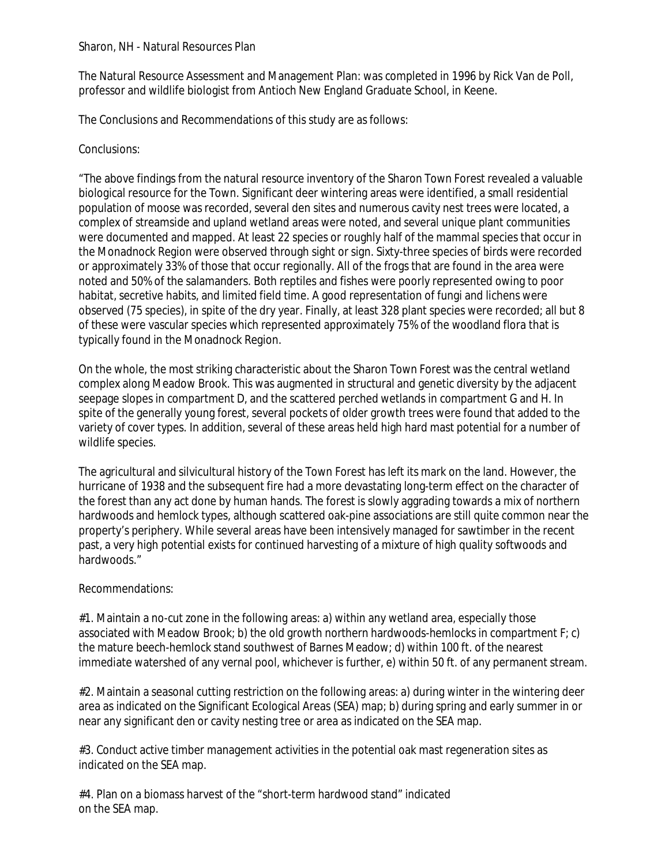## Sharon, NH - Natural Resources Plan

The Natural Resource Assessment and Management Plan: was completed in 1996 by Rick Van de Poll, professor and wildlife biologist from Antioch New England Graduate School, in Keene.

The Conclusions and Recommendations of this study are as follows:

## Conclusions:

"The above findings from the natural resource inventory of the Sharon Town Forest revealed a valuable biological resource for the Town. Significant deer wintering areas were identified, a small residential population of moose was recorded, several den sites and numerous cavity nest trees were located, a complex of streamside and upland wetland areas were noted, and several unique plant communities were documented and mapped. At least 22 species or roughly half of the mammal species that occur in the Monadnock Region were observed through sight or sign. Sixty-three species of birds were recorded or approximately 33% of those that occur regionally. All of the frogs that are found in the area were noted and 50% of the salamanders. Both reptiles and fishes were poorly represented owing to poor habitat, secretive habits, and limited field time. A good representation of fungi and lichens were observed (75 species), in spite of the dry year. Finally, at least 328 plant species were recorded; all but 8 of these were vascular species which represented approximately 75% of the woodland flora that is typically found in the Monadnock Region.

On the whole, the most striking characteristic about the Sharon Town Forest was the central wetland complex along Meadow Brook. This was augmented in structural and genetic diversity by the adjacent seepage slopes in compartment D, and the scattered perched wetlands in compartment G and H. In spite of the generally young forest, several pockets of older growth trees were found that added to the variety of cover types. In addition, several of these areas held high hard mast potential for a number of wildlife species.

The agricultural and silvicultural history of the Town Forest has left its mark on the land. However, the hurricane of 1938 and the subsequent fire had a more devastating long-term effect on the character of the forest than any act done by human hands. The forest is slowly aggrading towards a mix of northern hardwoods and hemlock types, although scattered oak-pine associations are still quite common near the property's periphery. While several areas have been intensively managed for sawtimber in the recent past, a very high potential exists for continued harvesting of a mixture of high quality softwoods and hardwoods."

## Recommendations:

#1. Maintain a no-cut zone in the following areas: a) within any wetland area, especially those associated with Meadow Brook; b) the old growth northern hardwoods-hemlocks in compartment F; c) the mature beech-hemlock stand southwest of Barnes Meadow; d) within 100 ft. of the nearest immediate watershed of any vernal pool, whichever is further, e) within 50 ft. of any permanent stream.

#2. Maintain a seasonal cutting restriction on the following areas: a) during winter in the wintering deer area as indicated on the Significant Ecological Areas (SEA) map; b) during spring and early summer in or near any significant den or cavity nesting tree or area as indicated on the SEA map.

#3. Conduct active timber management activities in the potential oak mast regeneration sites as indicated on the SEA map.

#4. Plan on a biomass harvest of the "short-term hardwood stand" indicated on the SEA map.